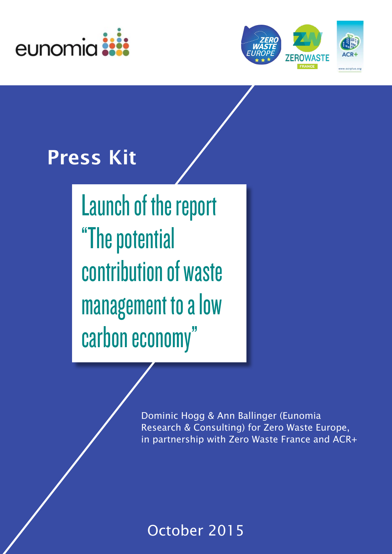



# Press Kit

Launch of the report "The potential contribution of waste management to a low carbon economy"

> Dominic Hogg & Ann Ballinger (Eunomia Research & Consulting) for Zero Waste Europe, in partnership with Zero Waste France and ACR+

## October 2015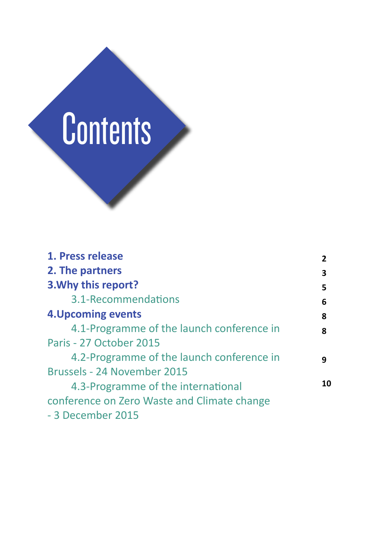

| 1. Press release                            |    |
|---------------------------------------------|----|
| 2. The partners                             | 3  |
| 3. Why this report?                         | 5  |
| 3.1-Recommendations                         | 6  |
| <b>4. Upcoming events</b>                   | 8  |
| 4.1-Programme of the launch conference in   | 8  |
| Paris - 27 October 2015                     |    |
| 4.2-Programme of the launch conference in   | q  |
| Brussels - 24 November 2015                 |    |
| 4.3-Programme of the international          | 10 |
| conference on Zero Waste and Climate change |    |
| - 3 December 2015                           |    |
|                                             |    |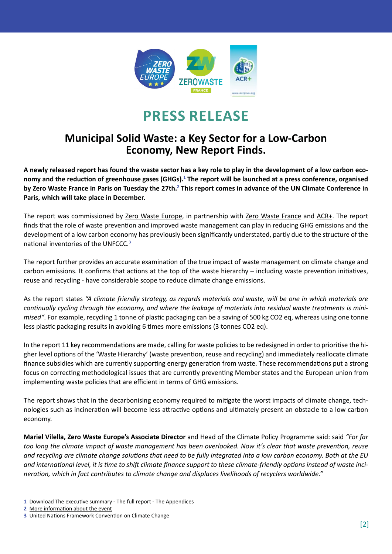

## **Press release**

### **Municipal Solid Waste: a Key Sector for a Low-Carbon Economy, New Report Finds.**

**A newly released report has found the waste sector has a key role to play in the development of a low carbon eco**nomy and the reduction of greenhouse gases (GHGs).<sup>1</sup> The report will be launched at a press conference, organised by Zero Waste France in Paris on Tuesday the 27th.<sup>2</sup> This report comes in advance of the UN Climate Conference in **Paris, which will take place in December.**

The report was commissioned by Zero Waste [Europe,](http://www.zerowasteeurope.eu/) in partnership with Zero Waste [France](https://www.zerowastefrance.org/fr) and [ACR+](http://www.acrplus.org/index.php/en/). The report finds that the role of waste prevention and improved waste management can play in reducing GHG emissions and the development of a low carbon economy has previously been significantly understated, partly due to the structure of the national inventories of the UNFCCC.**<sup>3</sup>**

The report further provides an accurate examination of the true impact of waste management on climate change and carbon emissions. It confirms that actions at the top of the waste hierarchy – including waste prevention initiatives, reuse and recycling - have considerable scope to reduce climate change emissions.

As the report states *"A climate friendly strategy, as regards materials and waste, will be one in which materials are continually cycling through the economy, and where the leakage of materials into residual waste treatments is minimised"*. For example, recycling 1 tonne of plastic packaging can be a saving of 500 kg CO2 eq, whereas using one tonne less plastic packaging results in avoiding 6 times more emissions (3 tonnes CO2 eq).

In the report 11 key recommendations are made, calling for waste policies to be redesigned in order to prioritise the higher level options of the 'Waste Hierarchy' (waste prevention, reuse and recycling) and immediately reallocate climate finance subsidies which are currently supporting energy generation from waste. These recommendations put a strong focus on correcting methodological issues that are currently preventing Member states and the European union from implementing waste policies that are efficient in terms of GHG emissions.

The report shows that in the decarbonising economy required to mitigate the worst impacts of climate change, technologies such as incineration will become less attractive options and ultimately present an obstacle to a low carbon economy.

**Mariel Vilella, Zero Waste Europe's Associate Director** and Head of the Climate Policy Programme said: said *"For far too long the climate impact of waste management has been overlooked. Now it's clear that waste prevention, reuse and recycling are climate change solutions that need to be fully integrated into a low carbon economy. Both at the EU and international level, it is time to shift climate finance support to these climate-friendly options instead of waste incineration, which in fact contributes to climate change and displaces livelihoods of recyclers worldwide."* 

- **1** Download The executive summary The full report The [Appendices](http://www.zerowasteeurope.eu/downloads/the-potential-contribution-of-waste-management-to-a-low-carbon-economy)
- **2** More [information](https://www.zerowastefrance.org/fr/events/132) about the event

**<sup>3</sup>** United Nations Framework Convention on Climate Change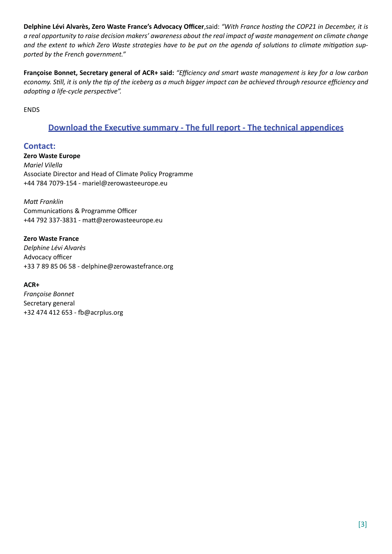**Delphine Lévi Alvarès, Zero Waste France's Advocacy Officer**,said: *"With France hosting the COP21 in December, it is a real opportunity to raise decision makers' awareness about the real impact of waste management on climate change and the extent to which Zero Waste strategies have to be put on the agenda of solutions to climate mitigation supported by the French government."*

**Françoise Bonnet, Secretary general of ACR+ said:** *"Efficiency and smart waste management is key for a low carbon economy. Still, it is only the tip of the iceberg as a much bigger impact can be achieved through resource efficiency and adopting a life-cycle perspective".*

ENDS

### **[Download the Executive summary - The full report - The technical appendices](http://www.zerowasteeurope.eu/downloads/the-potential-contribution-of-waste-management-to-a-low-carbon-economy)**

**Contact: Zero Waste Europe** *Mariel Vilella* Associate Director and Head of Climate Policy Programme +44 784 7079-154 - mariel@zerowasteeurope.eu

*Matt Franklin* Communications & Programme Officer +44 792 337-3831 - matt@zerowasteeurope.eu

**Zero Waste France** *Delphine Lévi Alvarès* Advocacy officer +33 7 89 85 06 58 - delphine@zerowastefrance.org

**ACR+**

*Françoise Bonnet* Secretary general +32 474 412 653 - fb@acrplus.org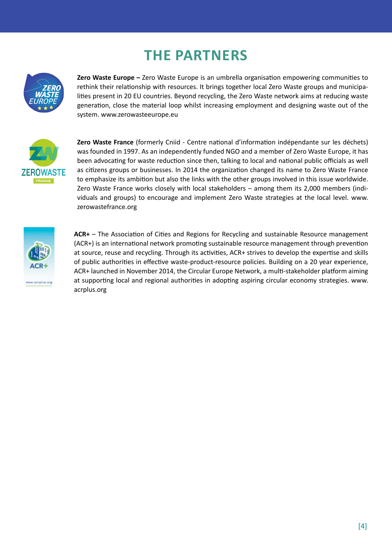## **The partners**



**Zero Waste Europe –** Zero Waste Europe is an umbrella organisation empowering communities to rethink their relationship with resources. It brings together local Zero Waste groups and municipalities present in 20 EU countries. Beyond recycling, the Zero Waste network aims at reducing waste generation, close the material loop whilst increasing employment and designing waste out of the system. www.zerowasteeurope.eu



**Zero Waste France** (formerly Cniid - Centre national d'information indépendante sur les déchets) was founded in 1997. As an independently funded NGO and a member of Zero Waste Europe, it has been advocating for waste reduction since then, talking to local and national public officials as well as citizens groups or businesses. In 2014 the organization changed its name to Zero Waste France to emphasize its ambition but also the links with the other groups involved in this issue worldwide. Zero Waste France works closely with local stakeholders – among them its 2,000 members (individuals and groups) to encourage and implement Zero Waste strategies at the local level. www. zerowastefrance.org



**ACR+** – The Association of Cities and Regions for Recycling and sustainable Resource management (ACR+) is an international network promoting sustainable resource management through prevention at source, reuse and recycling. Through its activities, ACR+ strives to develop the expertise and skills of public authorities in effective waste-product-resource policies. Building on a 20 year experience, ACR+ launched in November 2014, the Circular Europe Network, a multi-stakeholder platform aiming at supporting local and regional authorities in adopting aspiring circular economy strategies. www. acrplus.org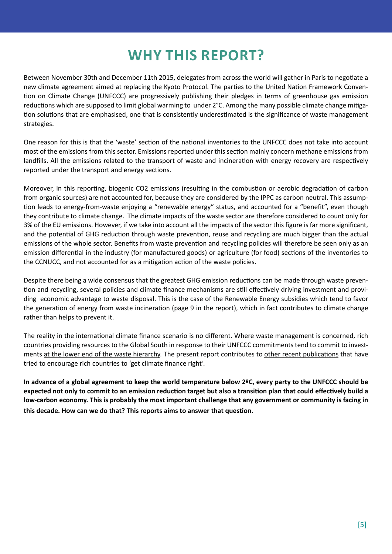## **Why this report?**

Between November 30th and December 11th 2015, delegates from across the world will gather in Paris to negotiate a new climate agreement aimed at replacing the Kyoto Protocol. The parties to the United Nation Framework Convention on Climate Change (UNFCCC) are progressively publishing their pledges in terms of greenhouse gas emission reductions which are supposed to limit global warming to under 2°C. Among the many possible climate change mitigation solutions that are emphasised, one that is consistently underestimated is the significance of waste management strategies.

One reason for this is that the 'waste' section of the national inventories to the UNFCCC does not take into account most of the emissions from this sector. Emissions reported under this section mainly concern methane emissions from landfills. All the emissions related to the transport of waste and incineration with energy recovery are respectively reported under the transport and energy sections.

Moreover, in this reporting, biogenic CO2 emissions (resulting in the combustion or aerobic degradation of carbon from organic sources) are not accounted for, because they are considered by the IPPC as carbon neutral. This assumption leads to energy-from-waste enjoying a "renewable energy" status, and accounted for a "benefit", even though they contribute to climate change. The climate impacts of the waste sector are therefore considered to count only for 3% of the EU emissions. However, if we take into account all the impacts of the sector this figure is far more significant, and the potential of GHG reduction through waste prevention, reuse and recycling are much bigger than the actual emissions of the whole sector. Benefits from waste prevention and recycling policies will therefore be seen only as an emission differential in the industry (for manufactured goods) or agriculture (for food) sections of the inventories to the CCNUCC, and not accounted for as a mitigation action of the waste policies.

Despite there being a wide consensus that the greatest GHG emission reductions can be made through waste prevention and recycling, several policies and climate finance mechanisms are still effectively driving investment and providing economic advantage to waste disposal. This is the case of the Renewable Energy subsidies which tend to favor the generation of energy from waste incineration (page 9 in the report), which in fact contributes to climate change rather than helps to prevent it.

The reality in the international climate finance scenario is no different. Where waste management is concerned, rich countries providing resourcesto the Global South in response to their UNFCCC commitmentstend to commit to investments at the lower end of the waste [hierarchy](http://www.zerowasteeurope.eu/2015/04/climate-finance-for-the-waste-sector-whats-that-about/). The present report contributes to other recent [publications](http://www.zerowasteeurope.eu/2015/07/getting-climate-finance-right-in-the-waste-sector/) that have tried to encourage rich countries to 'get climate finance right'.

**In advance of a global agreement to keep the world temperature below 2ºC, every party to the UNFCCC should be expected not only to commit to an emission reduction target but also a transition plan that could effectively build a low-carbon economy. This is probably the most important challenge that any government or community is facing in this decade. How can we do that? This reports aims to answer that question.**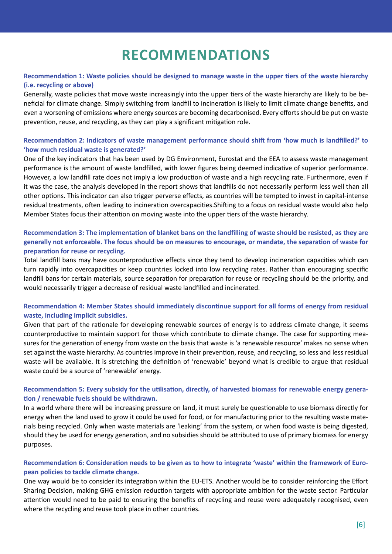## **Recommendations**

#### **Recommendation 1: Waste policies should be designed to manage waste in the upper tiers of the waste hierarchy (i.e. recycling or above)**

Generally, waste policies that move waste increasingly into the upper tiers of the waste hierarchy are likely to be beneficial for climate change. Simply switching from landfill to incineration is likely to limit climate change benefits, and even a worsening of emissions where energy sources are becoming decarbonised. Every efforts should be put on waste prevention, reuse, and recycling, as they can play a significant mitigation role.

#### **Recommendation 2: Indicators of waste management performance should shift from 'how much is landfilled?' to 'how much residual waste is generated?'**

One of the key indicators that has been used by DG Environment, Eurostat and the EEA to assess waste management performance is the amount of waste landfilled, with lower figures being deemed indicative of superior performance. However, a low landfill rate does not imply a low production of waste and a high recycling rate. Furthermore, even if it was the case, the analysis developed in the report shows that landfills do not necessarily perform less well than all other options. This indicator can also trigger perverse effects, as countries will be tempted to invest in capital-intense residual treatments, often leading to incineration overcapacities.Shifting to a focus on residual waste would also help Member States focus their attention on moving waste into the upper tiers of the waste hierarchy.

#### **Recommendation 3: The implementation of blanket bans on the landfilling of waste should be resisted, as they are generally not enforceable. The focus should be on measures to encourage, or mandate, the separation of waste for preparation for reuse or recycling.**

Total landfill bans may have counterproductive effects since they tend to develop incineration capacities which can turn rapidly into overcapacities or keep countries locked into low recycling rates. Rather than encouraging specific landfill bans for certain materials, source separation for preparation for reuse or recycling should be the priority, and would necessarily trigger a decrease of residual waste landfilled and incinerated.

#### **Recommendation 4: Member States should immediately discontinue support for all forms of energy from residual waste, including implicit subsidies.**

Given that part of the rationale for developing renewable sources of energy is to address climate change, it seems counterproductive to maintain support for those which contribute to climate change. The case for supporting measures for the generation of energy from waste on the basis that waste is 'a renewable resource' makes no sense when set against the waste hierarchy. As countries improve in their prevention, reuse, and recycling, so less and less residual waste will be available. It is stretching the definition of 'renewable' beyond what is credible to argue that residual waste could be a source of 'renewable' energy.

#### **Recommendation 5: Every subsidy for the utilisation, directly, of harvested biomass for renewable energy generation / renewable fuels should be withdrawn.**

In a world where there will be increasing pressure on land, it must surely be questionable to use biomass directly for energy when the land used to grow it could be used for food, or for manufacturing prior to the resulting waste materials being recycled. Only when waste materials are 'leaking' from the system, or when food waste is being digested, should they be used for energy generation, and no subsidies should be attributed to use of primary biomass for energy purposes.

#### **Recommendation 6: Consideration needs to be given as to how to integrate 'waste' within the framework of European policies to tackle climate change.**

One way would be to consider its integration within the EU-ETS. Another would be to consider reinforcing the Effort Sharing Decision, making GHG emission reduction targets with appropriate ambition for the waste sector. Particular attention would need to be paid to ensuring the benefits of recycling and reuse were adequately recognised, even where the recycling and reuse took place in other countries.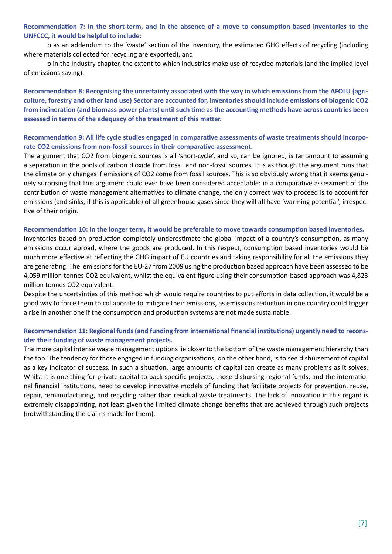**Recommendation 7: In the short-term, and in the absence of a move to consumption-based inventories to the UNFCCC, it would be helpful to include:**

 o as an addendum to the 'waste' section of the inventory, the estimated GHG effects of recycling (including where materials collected for recycling are exported), and

 o in the Industry chapter, the extent to which industries make use of recycled materials (and the implied level of emissions saving).

**Recommendation 8: Recognising the uncertainty associated with the way in which emissions from the AFOLU (agriculture, forestry and other land use) Sector are accounted for, inventories should include emissions of biogenic CO2 from incineration (and biomass power plants) until such time as the accounting methods have across countries been assessed in terms of the adequacy of the treatment of this matter.**

#### **Recommendation 9: All life cycle studies engaged in comparative assessments of waste treatments should incorporate CO2 emissions from non-fossil sources in their comparative assessment.**

The argument that CO2 from biogenic sources is all 'short-cycle', and so, can be ignored, is tantamount to assuming a separation in the pools of carbon dioxide from fossil and non-fossil sources. It is as though the argument runs that the climate only changes if emissions of CO2 come from fossil sources. This is so obviously wrong that it seems genuinely surprising that this argument could ever have been considered acceptable: in a comparative assessment of the contribution of waste management alternatives to climate change, the only correct way to proceed is to account for emissions (and sinks, if this is applicable) of all greenhouse gases since they will all have 'warming potential', irrespective of their origin.

#### **Recommendation 10: In the longer term, it would be preferable to move towards consumption based inventories.**

Inventories based on production completely underestimate the global impact of a country's consumption, as many emissions occur abroad, where the goods are produced. In this respect, consumption based inventories would be much more effective at reflecting the GHG impact of EU countries and taking responsibility for all the emissions they are generating. The emissions for the EU-27 from 2009 using the production based approach have been assessed to be 4,059 million tonnes CO2 equivalent, whilst the equivalent figure using their consumption-based approach was 4,823 million tonnes CO2 equivalent.

Despite the uncertainties of this method which would require countries to put efforts in data collection, it would be a good way to force them to collaborate to mitigate their emissions, as emissions reduction in one country could trigger a rise in another one if the consumption and production systems are not made sustainable.

#### **Recommendation 11: Regional funds (and funding from international financial institutions) urgently need to reconsider their funding of waste management projects.**

The more capital intense waste management options lie closer to the bottom of the waste management hierarchy than the top. The tendency for those engaged in funding organisations, on the other hand, is to see disbursement of capital as a key indicator of success. In such a situation, large amounts of capital can create as many problems as it solves. Whilst it is one thing for private capital to back specific projects, those disbursing regional funds, and the international financial institutions, need to develop innovative models of funding that facilitate projects for prevention, reuse, repair, remanufacturing, and recycling rather than residual waste treatments. The lack of innovation in this regard is extremely disappointing, not least given the limited climate change benefits that are achieved through such projects (notwithstanding the claims made for them).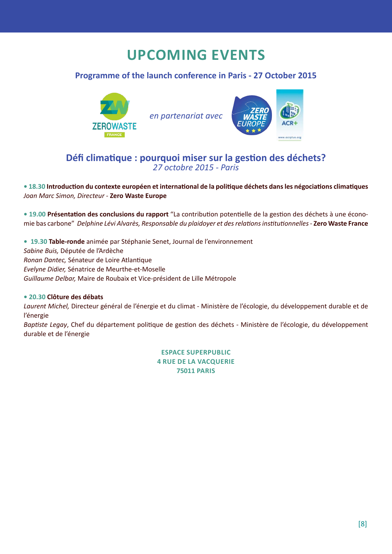## **Upcoming events**

### **Programme of the launch conference in Paris - 27 October 2015**



*en partenariat avec*



### **Défi climatique : pourquoi miser sur la gestion des déchets?**  *27 octobre 2015 - Paris*

**• 18.30 Introduction du contexte européen et international de la politique déchets dans les négociations climatiques** *Joan Marc Simon, Directeur* - **Zero Waste Europe**

**• 19.00 Présentation des conclusions du rapport** "La contribution potentielle de la gestion des déchets à une économie bas carbone" *Delphine Lévi Alvarès, Responsable du plaidoyer et des relations institutionnelles* - **Zero Waste France**

**• 19.30 Table-ronde** animée par Stéphanie Senet, Journal de l'environnement *Sabine Buis,* Députée de l'Ardèche *Ronan Dantec,* Sénateur de Loire Atlantique *Evelyne Didier,* Sénatrice de Meurthe-et-Moselle *Guillaume Delbar,* Maire de Roubaix et Vice-président de Lille Métropole

#### **• 20.30 Clôture des débats**

*Laurent Michel,* Directeur général de l'énergie et du climat - Ministère de l'écologie, du développement durable et de l'énergie

*Baptiste Legay*, Chef du département politique de gestion des déchets - Ministère de l'écologie, du développement durable et de l'énergie

> **Espace Superpublic 4 rue de la Vacquerie 75011 Paris**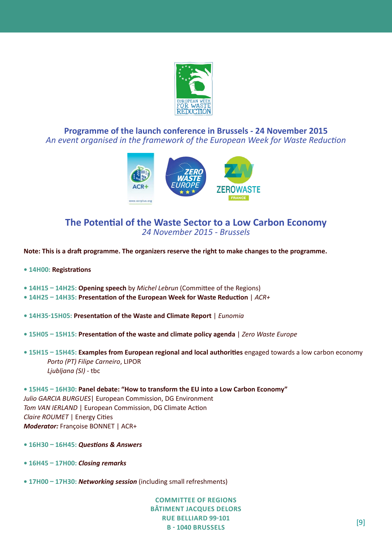

**Programme of the launch conference in Brussels - 24 November 2015**  *An event organised in the framework of the European Week for Waste Reduction*



### **The Potential of the Waste Sector to a Low Carbon Economy** *24 November 2015 - Brussels*

**Note: This is a draft programme. The organizers reserve the right to make changes to the programme.**

- **14h00: Registrations**
- **14h15 14h25: Opening speech** by *Michel Lebrun* (Committee of the Regions)
- **14h25 14h35: Presentation of the European Week for Waste Reduction** | *ACR+*
- **14h35-15h05: Presentation of the Waste and Climate Report** | *Eunomia*
- **15h05 15h15: Presentation of the waste and climate policy agenda** | *Zero Waste Europe*
- **15h15 15h45: Examples from European regional and local authorities** engaged towards a low carbon economy *Porto (PT) Filipe Carneiro*, LIPOR *Ljubljana (SI) -* tbc

**• 15h45 – 16h30: Panel debate: "How to transform the EU into a Low Carbon Economy"**  *Julio GARCIA BURGUES*| European Commission, DG Environment *Tom VAN IERLAND* | European Commission, DG Climate Action *Claire ROUMET* | Energy Cities *Moderator:* Françoise BONNET | ACR+

- **16h30 16h45:** *Questions & Answers*
- **16h45 17h00:** *Closing remarks*
- **17h00 17h30:** *Networking session* (including small refreshments)

**Committee of Regions Bâtiment Jacques Delors Rue Belliard 99-101 B - 1040 Brussels** [9]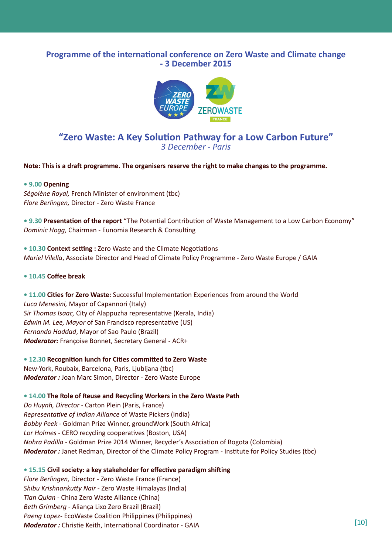#### **Programme of the international conference on Zero Waste and Climate change - 3 December 2015**



### **"Zero Waste: A Key Solution Pathway for a Low Carbon Future"** *3 December - Paris*

**Note: This is a draft programme. The organisers reserve the right to make changes to the programme.**

#### **• 9.00 Opening**

*Ségolène Royal,* French Minister of environment (tbc) *Flore Berlingen,* Director - Zero Waste France

**• 9.30 Presentation of the report** "The Potential Contribution of Waste Management to a Low Carbon Economy" *Dominic Hogg,* Chairman - Eunomia Research & Consulting

**• 10.30 Context setting :** Zero Waste and the Climate Negotiations *Mariel Vilella*, Associate Director and Head of Climate Policy Programme - Zero Waste Europe / GAIA

#### **• 10.45 Coffee break**

**• 11.00 Cities for Zero Waste:** Successful Implementation Experiences from around the World *Luca Menesini,* Mayor of Capannori (Italy) *Sir Thomas Isaac,* City of Alappuzha representative (Kerala, India) *Edwin M. Lee, Mayor* of San Francisco representative (US) *Fernando Haddad*, Mayor of Sao Paulo (Brazil) *Moderator:* Françoise Bonnet, Secretary General - ACR+

**• 12.30 Recognition lunch for Cities committed to Zero Waste** New-York, Roubaix, Barcelona, Paris, Ljubljana (tbc) *Moderator :* Joan Marc Simon, Director - Zero Waste Europe

**• 14.00 The Role of Reuse and Recycling Workers in the Zero Waste Path** *Do Huynh, Director* - Carton Plein (Paris, France) *Representative of Indian Alliance* of Waste Pickers (India) *Bobby Peek* - Goldman Prize Winner, groundWork (South Africa) *Lor Holmes* - CERO recycling cooperatives (Boston, USA) *Nohra Padilla -* Goldman Prize 2014 Winner, Recycler's Association of Bogota (Colombia) *Moderator : Janet Redman, Director of the Climate Policy Program - Institute for Policy Studies (tbc)* 

**• 15.15 Civil society: a key stakeholder for effective paradigm shifting** *Flore Berlingen,* Director - Zero Waste France (France) *Shibu Krishnankutty Nair* - Zero Waste Himalayas (India) *Tian Quian -* China Zero Waste Alliance (China) *Beth Grimberg* - Aliança Lixo Zero Brazil (Brazil) *Paeng Lopez*- EcoWaste Coalition Philippines (Philippines) *Moderator : Christie Keith, International Coordinator - GAIA [10] Moderator : Christie Keith, International Coordinator - GAIA*